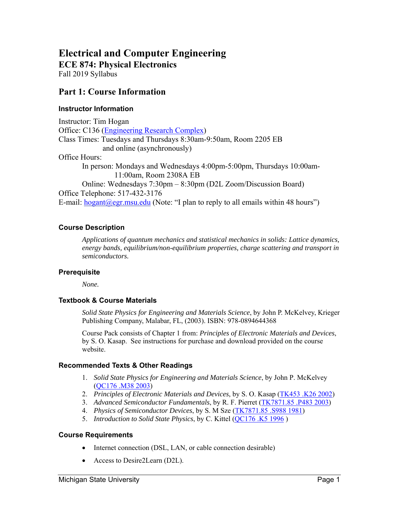# **Electrical and Computer Engineering ECE 874: Physical Electronics**

Fall 2019 Syllabus

# **Part 1: Course Information**

### **Instructor Information**

Instructor: Tim Hogan Office: C136 (Engineering Research Complex) Class Times: Tuesdays and Thursdays 8:30am-9:50am, Room 2205 EB and online (asynchronously) Office Hours: In person: Mondays and Wednesdays 4:00pm-5:00pm, Thursdays 10:00am-11:00am, Room 2308A EB Online: Wednesdays 7:30pm – 8:30pm (D2L Zoom/Discussion Board) Office Telephone: 517-432-3176 E-mail:  $\frac{\text{logant}(a) \text{egr} \cdot \text{msu.edu}}{\text{logant}(a) \text{egr} \cdot \text{msu.edu}}$  (Note: "I plan to reply to all emails within 48 hours")

### **Course Description**

*Applications of quantum mechanics and statistical mechanics in solids: Lattice dynamics, energy bands, equilibrium/non-equilibrium properties, charge scattering and transport in semiconductors.* 

### **Prerequisite**

*None.* 

### **Textbook & Course Materials**

*Solid State Physics for Engineering and Materials Science*, by John P. McKelvey, Krieger Publishing Company, Malabar, FL, (2003). ISBN: 978-0894644368

Course Pack consists of Chapter 1 from: *Principles of Electronic Materials and Devices*, by S. O. Kasap. See instructions for purchase and download provided on the course website.

### **Recommended Texts & Other Readings**

- 1. *Solid State Physics for Engineering and Materials Science*, by John P. McKelvey (QC176 .M38 2003)
- 2. *Principles of Electronic Materials and Devices*, by S. O. Kasap (TK453 .K26 2002)
- 3. *Advanced Semiconductor Fundamentals*, by R. F. Pierret (TK7871.85 .P483 2003)
- 4. *Physics of Semiconductor Devices*, by S. M Sze (TK7871.85 .S988 1981)
- 5. *Introduction to Solid State Physics*, by C. Kittel (QC176 .K5 1996 )

### **Course Requirements**

- Internet connection (DSL, LAN, or cable connection desirable)
- Access to Desire2Learn (D2L).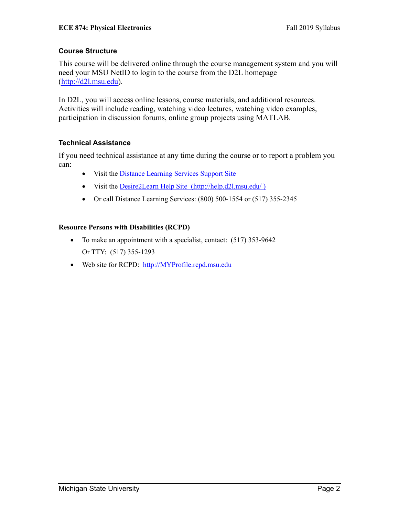### **Course Structure**

This course will be delivered online through the course management system and you will need your MSU NetID to login to the course from the D2L homepage (http://d2l.msu.edu).

In D2L, you will access online lessons, course materials, and additional resources. Activities will include reading, watching video lectures, watching video examples, participation in discussion forums, online group projects using MATLAB.

### **Technical Assistance**

If you need technical assistance at any time during the course or to report a problem you can:

- Visit the Distance Learning Services Support Site
- Visit the <u>Desire2Learn Help Site (http://help.d2l.msu.edu/)</u>
- Or call Distance Learning Services: (800) 500-1554 or (517) 355-2345

### **Resource Persons with Disabilities (RCPD)**

- To make an appointment with a specialist, contact: (517) 353-9642 Or TTY: (517) 355-1293
- Web site for RCPD: http://MYProfile.rcpd.msu.edu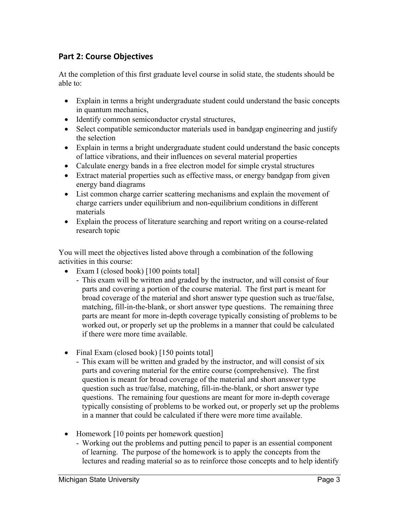# **Part 2: Course Objectives**

At the completion of this first graduate level course in solid state, the students should be able to:

- Explain in terms a bright undergraduate student could understand the basic concepts in quantum mechanics,
- Identify common semiconductor crystal structures,
- Select compatible semiconductor materials used in bandgap engineering and justify the selection
- Explain in terms a bright undergraduate student could understand the basic concepts of lattice vibrations, and their influences on several material properties
- Calculate energy bands in a free electron model for simple crystal structures
- Extract material properties such as effective mass, or energy bandgap from given energy band diagrams
- List common charge carrier scattering mechanisms and explain the movement of charge carriers under equilibrium and non-equilibrium conditions in different materials
- Explain the process of literature searching and report writing on a course-related research topic

You will meet the objectives listed above through a combination of the following activities in this course:

- Exam I (closed book) [100 points total]
	- This exam will be written and graded by the instructor, and will consist of four parts and covering a portion of the course material. The first part is meant for broad coverage of the material and short answer type question such as true/false, matching, fill-in-the-blank, or short answer type questions. The remaining three parts are meant for more in-depth coverage typically consisting of problems to be worked out, or properly set up the problems in a manner that could be calculated if there were more time available.
- Final Exam (closed book) [150 points total]
	- This exam will be written and graded by the instructor, and will consist of six parts and covering material for the entire course (comprehensive). The first question is meant for broad coverage of the material and short answer type question such as true/false, matching, fill-in-the-blank, or short answer type questions. The remaining four questions are meant for more in-depth coverage typically consisting of problems to be worked out, or properly set up the problems in a manner that could be calculated if there were more time available.
- Homework [10 points per homework question]
	- Working out the problems and putting pencil to paper is an essential component of learning. The purpose of the homework is to apply the concepts from the lectures and reading material so as to reinforce those concepts and to help identify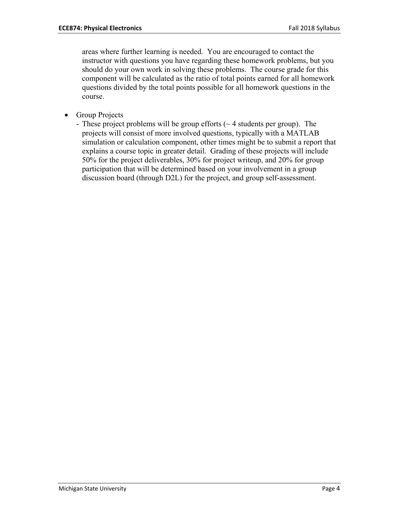areas where further learning is needed. You are encouraged to contact the instructor with questions you have regarding these homework problems, but you should do your own work in solving these problems. The course grade for this component will be calculated as the ratio of total points earned for all homework questions divided by the total points possible for all homework questions in the course.

- Group Projects
	- These project problems will be group efforts  $(\sim 4$  students per group). The projects will consist of more involved questions, typically with a MATLAB simulation or calculation component, other times might be to submit a report that explains a course topic in greater detail. Grading of these projects will include 50% for the project deliverables, 30% for project writeup, and 20% for group participation that will be determined based on your involvement in a group discussion board (through D2L) for the project, and group self-assessment.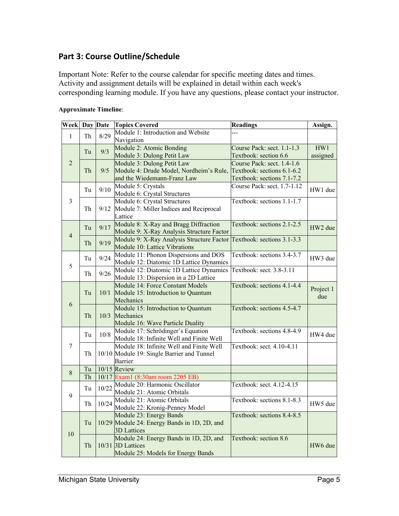# **Part 3: Course Outline/Schedule**

Important Note: Refer to the course calendar for specific meeting dates and times. Activity and assignment details will be explained in detail within each week's corresponding learning module. If you have any questions, please contact your instructor.

| <b>Week Day Date</b> |          |              | <b>Topics Covered</b>                                                 | <b>Readings</b>             | Assign.   |
|----------------------|----------|--------------|-----------------------------------------------------------------------|-----------------------------|-----------|
| $\mathbf{1}$         | Th       | 8/29         | Module 1: Introduction and Website                                    |                             |           |
|                      |          |              | Navigation                                                            |                             |           |
|                      | Tu       | 9/3          | Module 2: Atomic Bonding                                              | Course Pack: sect. 1.1-1.3  | HW1       |
|                      |          |              | Module 3: Dulong Petit Law                                            | Textbook: section 6.6       | assigned  |
| $\overline{2}$       |          |              | Module 3: Dulong Petit Law                                            | Course Pack: sect. 1.4-1.6  |           |
|                      | Th       | 9/5          | Module 4: Drude Model, Nordheim's Rule, Textbook: sections 6.1-6.2    |                             |           |
|                      |          |              | and the Wiedemann-Franz Law                                           | Textbook: sections 7.1-7.2  |           |
| 3                    | Tu       | 9/10         | Module 5: Crystals                                                    | Course Pack: sect. 1.7-1.12 | HW1 due   |
|                      |          |              | Module 6: Crystal Structures                                          |                             |           |
|                      | Th       | 9/12         | Module 6: Crystal Structures                                          | Textbook: sections 1.1-1.7  |           |
|                      |          |              | Module 7: Miller Indices and Reciprocal                               |                             |           |
|                      |          |              | Lattice                                                               |                             |           |
|                      | Tu       | 9/17         | Module 8: X-Ray and Bragg Diffraction                                 | Textbook: sections 2.1-2.5  | HW2 due   |
| $\overline{4}$       |          |              | Module 9: X-Ray Analysis Structure Factor                             |                             |           |
|                      | Th       | 9/19         | Module 9: X-Ray Analysis Structure Factor                             | Textbook: sections 3.1-3.3  |           |
|                      |          |              | Module 10: Lattice Vibrations                                         |                             |           |
| 5                    | Tu<br>Th | 9/24<br>9/26 | Module 11: Phonon Dispersions and DOS                                 | Textbook: sections 3.4-3.7  | HW3 due   |
|                      |          |              | Module 12: Diatomic 1D Lattice Dynamics                               |                             |           |
|                      |          |              | Module 12: Diatomic 1D Lattice Dynamics                               | Textbook: sect. 3.8-3.11    |           |
|                      |          |              | Module 13: Dispersion in a 2D Lattice                                 |                             |           |
|                      | Tu       | 10/1         | Module 14: Force Constant Models                                      | Textbook: sections 4.1-4.4  | Project 1 |
|                      |          |              | Module 15: Introduction to Quantum                                    |                             | due       |
| 6                    |          |              | Mechanics                                                             |                             |           |
|                      |          | 10/3         | Module 15: Introduction to Quantum<br>Mechanics                       | Textbook: sections 4.5-4.7  |           |
|                      | Th       |              |                                                                       |                             |           |
|                      |          |              | Module 16: Wave Particle Duality<br>Module 17: Schrödinger's Equation | Textbook: sections 4.8-4.9  |           |
|                      | Tu       | 10/8         | Module 18: Infinite Well and Finite Well                              |                             | HW4 due   |
| 7                    |          |              | Module 18: Infinite Well and Finite Well                              | Textbook: sect. 4.10-4.11   |           |
|                      | Th       |              | 10/10 Module 19: Single Barrier and Tunnel                            |                             |           |
|                      |          |              | Barrier                                                               |                             |           |
|                      | Tu       |              | $10/15$ Review                                                        |                             |           |
| 8                    | Th       |              | 10/17 Exam1 (8:30am room 2205 EB)                                     |                             |           |
|                      |          |              | 10/22 Module 20: Harmonic Oscillator                                  | Textbook: sect. 4.12-4.15   |           |
|                      | Tu       |              | Module 21: Atomic Orbitals                                            |                             |           |
| 9                    |          |              | Module 21: Atomic Orbitals                                            | Textbook: sections 8.1-8.3  |           |
|                      | Th       | 10/24        | Module 22: Kronig-Penney Model                                        |                             | HW5 due   |
|                      | Tu       |              | Module 23: Energy Bands                                               | Textbook: sections 8.4-8.5  |           |
|                      |          |              | 10/29 Module 24: Energy Bands in 1D, 2D, and                          |                             |           |
|                      |          |              | 3D Lattices                                                           |                             |           |
| 10                   |          |              | Module 24: Energy Bands in 1D, 2D, and                                | Textbook: section 8.6       |           |
|                      | Th       |              | 10/31 3D Lattices                                                     |                             | HW6 due   |
|                      |          |              | Module 25: Models for Energy Bands                                    |                             |           |

#### **Approximate Timeline**: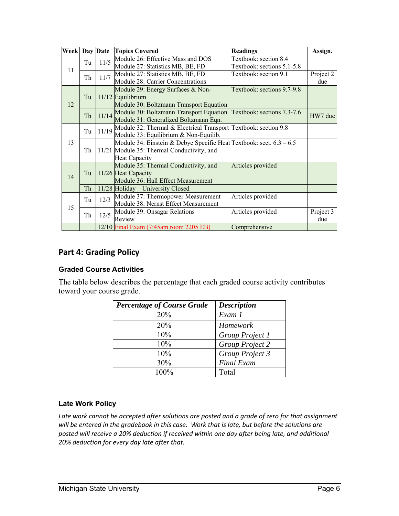| <b>Week Day Date</b> |    |       | <b>Topics Covered</b>                                                 | <b>Readings</b>            | Assign.   |
|----------------------|----|-------|-----------------------------------------------------------------------|----------------------------|-----------|
| 11                   | Tu | 11/5  | Module 26: Effective Mass and DOS                                     | Textbook: section 8.4      |           |
|                      |    |       | Module 27: Statistics MB, BE, FD                                      | Textbook: sections 5.1-5.8 |           |
|                      | Th | 11/7  | Module 27: Statistics MB, BE, FD                                      | Textbook: section 9.1      | Project 2 |
|                      |    |       | Module 28: Carrier Concentrations                                     |                            | due       |
| 12                   | Tu |       | Module 29: Energy Surfaces & Non-                                     | Textbook: sections 9.7-9.8 |           |
|                      |    |       | 11/12 Equilibrium                                                     |                            |           |
|                      |    |       | Module 30: Boltzmann Transport Equation                               |                            |           |
|                      | Th | 11/14 | Module 30: Boltzmann Transport Equation Textbook: sections 7.3-7.6    |                            | HW7 due   |
|                      |    |       | Module 31: Generalized Boltzmann Eqn.                                 |                            |           |
|                      | Tu | 11/19 | Module 32: Thermal & Electrical Transport Textbook: section 9.8       |                            |           |
|                      |    |       | Module 33: Equilibrium & Non-Equilib.                                 |                            |           |
| 13                   |    |       | Module 34: Einstein & Debye Specific Heat Textbook: sect. $6.3 - 6.5$ |                            |           |
|                      | Th |       | 11/21 Module 35: Thermal Conductivity, and                            |                            |           |
|                      |    |       | Heat Capacity                                                         |                            |           |
| 14                   | Tu |       | Module 35: Thermal Conductivity, and                                  | Articles provided          |           |
|                      |    |       | 11/26 Heat Capacity                                                   |                            |           |
|                      |    |       | Module 36: Hall Effect Measurement                                    |                            |           |
|                      | Th |       | 11/28 Holiday - University Closed                                     |                            |           |
| 15                   | Tu | 12/3  | Module 37: Thermopower Measurement                                    | Articles provided          |           |
|                      |    |       | Module 38: Nernst Effect Measurement                                  |                            |           |
|                      | Th | 12/5  | Module 39: Onsagar Relations                                          | Articles provided          | Project 3 |
|                      |    |       | Review                                                                |                            | due       |
|                      |    |       | 12/10 Final Exam (7:45am room 2205 EB)                                | Comprehensive              |           |

# **Part 4: Grading Policy**

### **Graded Course Activities**

The table below describes the percentage that each graded course activity contributes toward your course grade.

| <b>Percentage of Course Grade</b> | <b>Description</b> |
|-----------------------------------|--------------------|
| 20%                               | Exam 1             |
| 20%                               | Homework           |
| 10%                               | Group Project 1    |
| 10%                               | Group Project 2    |
| 10%                               | Group Project 3    |
| 30%                               | <b>Final Exam</b>  |
| 100%                              | Total              |

# **Late Work Policy**

*Late work cannot be accepted after solutions are posted and a grade of zero for that assignment will be entered in the gradebook in this case. Work that is late, but before the solutions are posted will receive a 20% deduction if received within one day after being late, and additional 20% deduction for every day late after that.*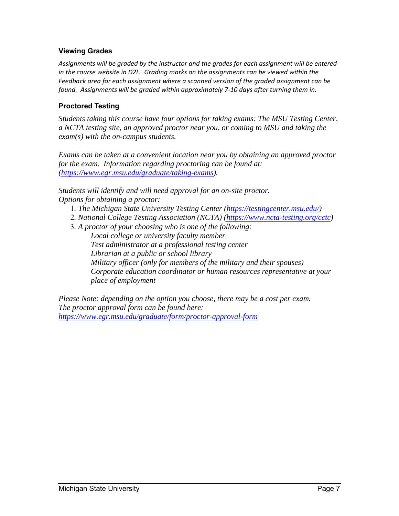# **Viewing Grades**

*Assignments will be graded by the instructor and the grades for each assignment will be entered in the course website in D2L. Grading marks on the assignments can be viewed within the Feedback area for each assignment where a scanned version of the graded assignment can be found. Assignments will be graded within approximately 7‐10 days after turning them in.*

# **Proctored Testing**

*Students taking this course have four options for taking exams: The MSU Testing Center, a NCTA testing site, an approved proctor near you, or coming to MSU and taking the exam(s) with the on-campus students.* 

*Exams can be taken at a convenient location near you by obtaining an approved proctor for the exam. Information regarding proctoring can be found at: (https://www.egr.msu.edu/graduate/taking-exams).* 

*Students will identify and will need approval for an on-site proctor. Options for obtaining a proctor:* 

- 1*. The Michigan State University Testing Center (https://testingcenter.msu.edu/)*
- 2*. National College Testing Association (NCTA) (https://www.ncta-testing.org/cctc)*
- 3*. A proctor of your choosing who is one of the following: Local college or university faculty member Test administrator at a professional testing center Librarian at a public or school library Military officer (only for members of the military and their spouses) Corporate education coordinator or human resources representative at your place of employment*

*Please Note: depending on the option you choose, there may be a cost per exam. The proctor approval form can be found here: https://www.egr.msu.edu/graduate/form/proctor-approval-form*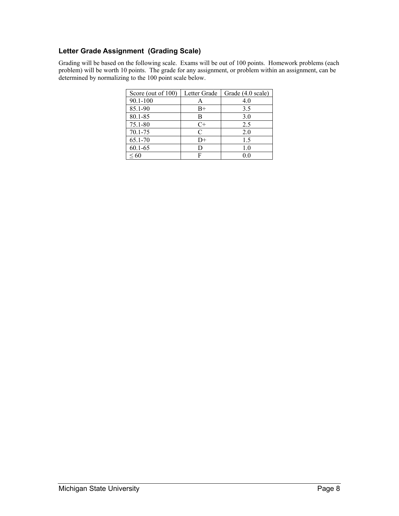# **Letter Grade Assignment (Grading Scale)**

Grading will be based on the following scale. Exams will be out of 100 points. Homework problems (each problem) will be worth 10 points. The grade for any assignment, or problem within an assignment, can be determined by normalizing to the 100 point scale below.

| Score (out of 100) | Letter Grade | Grade (4.0 scale) |
|--------------------|--------------|-------------------|
| 90.1-100           | А            | 4.0               |
| 85.1-90            | $B+$         | 3.5               |
| 80.1-85            | В            | 3.0               |
| 75.1-80            | C+           | 2.5               |
| 70.1-75            | C            | 2.0               |
| 65.1-70            | D+           | 1.5               |
| $60.1 - 65$        | D            | 1.0               |
| < 60               |              |                   |